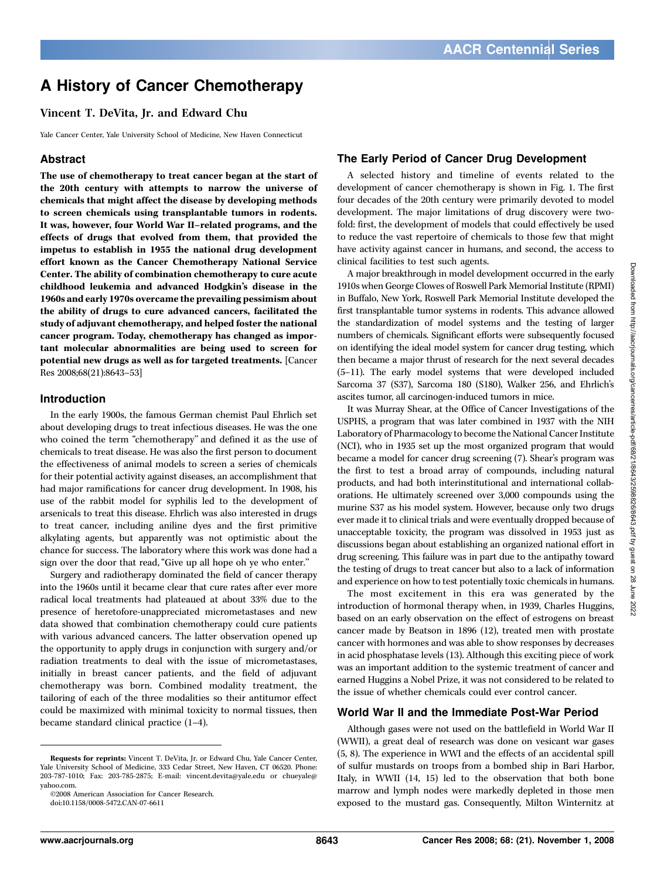# A History of Cancer Chemotherapy

# Vincent T. DeVita, Jr. and Edward Chu

Yale Cancer Center, Yale University School of Medicine, New Haven Connecticut

## Abstract

The use of chemotherapy to treat cancer began at the start of the 20th century with attempts to narrow the universe of chemicals that might affect the disease by developing methods to screen chemicals using transplantable tumors in rodents. It was, however, four World War II–related programs, and the effects of drugs that evolved from them, that provided the impetus to establish in 1955 the national drug development effort known as the Cancer Chemotherapy National Service Center. The ability of combination chemotherapy to cure acute childhood leukemia and advanced Hodgkin's disease in the 1960s and early 1970s overcame the prevailing pessimism about the ability of drugs to cure advanced cancers, facilitated the study of adjuvant chemotherapy, and helped foster the national cancer program. Today, chemotherapy has changed as important molecular abnormalities are being used to screen for potential new drugs as well as for targeted treatments. [Cancer Res 2008;68(21):8643–53]

#### Introduction

In the early 1900s, the famous German chemist Paul Ehrlich set about developing drugs to treat infectious diseases. He was the one who coined the term ''chemotherapy'' and defined it as the use of chemicals to treat disease. He was also the first person to document the effectiveness of animal models to screen a series of chemicals for their potential activity against diseases, an accomplishment that had major ramifications for cancer drug development. In 1908, his use of the rabbit model for syphilis led to the development of arsenicals to treat this disease. Ehrlich was also interested in drugs to treat cancer, including aniline dyes and the first primitive alkylating agents, but apparently was not optimistic about the chance for success. The laboratory where this work was done had a sign over the door that read, "Give up all hope oh ye who enter."

Surgery and radiotherapy dominated the field of cancer therapy into the 1960s until it became clear that cure rates after ever more radical local treatments had plateaued at about 33% due to the presence of heretofore-unappreciated micrometastases and new data showed that combination chemotherapy could cure patients with various advanced cancers. The latter observation opened up the opportunity to apply drugs in conjunction with surgery and/or radiation treatments to deal with the issue of micrometastases, initially in breast cancer patients, and the field of adjuvant chemotherapy was born. Combined modality treatment, the tailoring of each of the three modalities so their antitumor effect could be maximized with minimal toxicity to normal tissues, then became standard clinical practice (1–4).

©2008 American Association for Cancer Research.

## The Early Period of Cancer Drug Development

A selected history and timeline of events related to the development of cancer chemotherapy is shown in Fig. 1. The first four decades of the 20th century were primarily devoted to model development. The major limitations of drug discovery were twofold: first, the development of models that could effectively be used to reduce the vast repertoire of chemicals to those few that might have activity against cancer in humans, and second, the access to clinical facilities to test such agents.

A major breakthrough in model development occurred in the early 1910s when George Clowes of Roswell Park Memorial Institute (RPMI) in Buffalo, New York, Roswell Park Memorial Institute developed the first transplantable tumor systems in rodents. This advance allowed the standardization of model systems and the testing of larger numbers of chemicals. Significant efforts were subsequently focused on identifying the ideal model system for cancer drug testing, which then became a major thrust of research for the next several decades (5–11). The early model systems that were developed included Sarcoma 37 (S37), Sarcoma 180 (S180), Walker 256, and Ehrlich's ascites tumor, all carcinogen-induced tumors in mice.

It was Murray Shear, at the Office of Cancer Investigations of the USPHS, a program that was later combined in 1937 with the NIH Laboratory of Pharmacology to become the National Cancer Institute (NCI), who in 1935 set up the most organized program that would became a model for cancer drug screening (7). Shear's program was the first to test a broad array of compounds, including natural products, and had both interinstitutional and international collaborations. He ultimately screened over 3,000 compounds using the murine S37 as his model system. However, because only two drugs ever made it to clinical trials and were eventually dropped because of unacceptable toxicity, the program was dissolved in 1953 just as discussions began about establishing an organized national effort in drug screening. This failure was in part due to the antipathy toward the testing of drugs to treat cancer but also to a lack of information and experience on how to test potentially toxic chemicals in humans.

The most excitement in this era was generated by the introduction of hormonal therapy when, in 1939, Charles Huggins, based on an early observation on the effect of estrogens on breast cancer made by Beatson in 1896(12), treated men with prostate cancer with hormones and was able to show responses by decreases in acid phosphatase levels (13). Although this exciting piece of work was an important addition to the systemic treatment of cancer and earned Huggins a Nobel Prize, it was not considered to be related to the issue of whether chemicals could ever control cancer.

#### World War II and the Immediate Post-War Period

Although gases were not used on the battlefield in World War II (WWII), a great deal of research was done on vesicant war gases (5, 8). The experience in WWI and the effects of an accidental spill of sulfur mustards on troops from a bombed ship in Bari Harbor, Italy, in WWII (14, 15) led to the observation that both bone marrow and lymph nodes were markedly depleted in those men exposed to the mustard gas. Consequently, Milton Winternitz at

Requests for reprints: Vincent T. DeVita, Jr. or Edward Chu, Yale Cancer Center, Yale University School of Medicine, 333 Cedar Street, New Haven, CT 06520. Phone: 203-787-1010; Fax: 203-785-2875; E-mail: vincent.devita@yale.edu or chueyale@ yahoo.com.

doi:10.1158/0008-5472.CAN-07-6611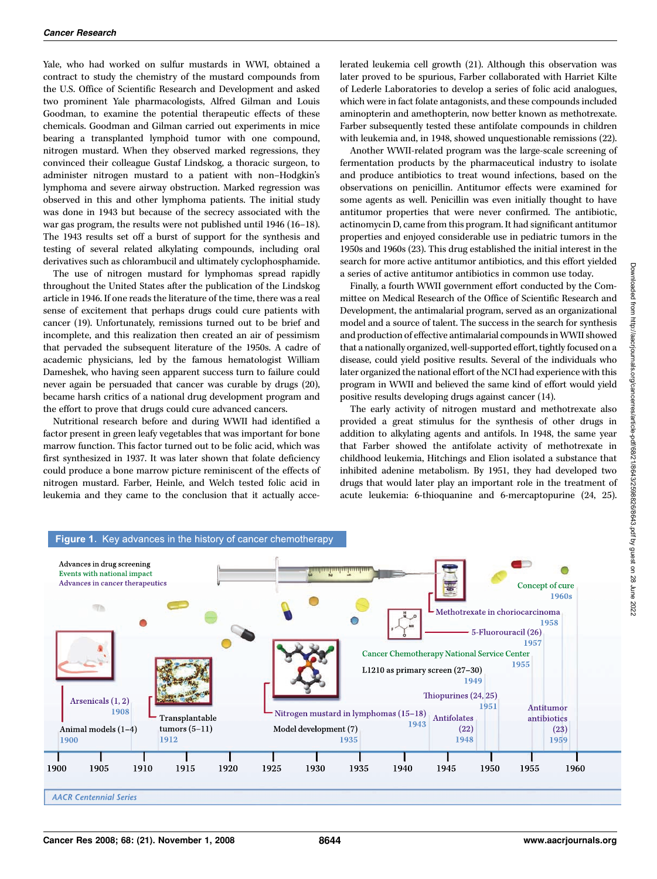Yale, who had worked on sulfur mustards in WWI, obtained a contract to study the chemistry of the mustard compounds from the U.S. Office of Scientific Research and Development and asked two prominent Yale pharmacologists, Alfred Gilman and Louis Goodman, to examine the potential therapeutic effects of these chemicals. Goodman and Gilman carried out experiments in mice bearing a transplanted lymphoid tumor with one compound, nitrogen mustard. When they observed marked regressions, they convinced their colleague Gustaf Lindskog, a thoracic surgeon, to administer nitrogen mustard to a patient with non–Hodgkin's lymphoma and severe airway obstruction. Marked regression was observed in this and other lymphoma patients. The initial study was done in 1943 but because of the secrecy associated with the war gas program, the results were not published until 1946(16–18). The 1943 results set off a burst of support for the synthesis and testing of several related alkylating compounds, including oral derivatives such as chlorambucil and ultimately cyclophosphamide.

The use of nitrogen mustard for lymphomas spread rapidly throughout the United States after the publication of the Lindskog article in 1946. If one reads the literature of the time, there was a real sense of excitement that perhaps drugs could cure patients with cancer (19). Unfortunately, remissions turned out to be brief and incomplete, and this realization then created an air of pessimism that pervaded the subsequent literature of the 1950s. A cadre of academic physicians, led by the famous hematologist William Dameshek, who having seen apparent success turn to failure could never again be persuaded that cancer was curable by drugs (20), became harsh critics of a national drug development program and the effort to prove that drugs could cure advanced cancers.

Nutritional research before and during WWII had identified a factor present in green leafy vegetables that was important for bone marrow function. This factor turned out to be folic acid, which was first synthesized in 1937. It was later shown that folate deficiency could produce a bone marrow picture reminiscent of the effects of nitrogen mustard. Farber, Heinle, and Welch tested folic acid in leukemia and they came to the conclusion that it actually accelerated leukemia cell growth (21). Although this observation was later proved to be spurious, Farber collaborated with Harriet Kilte of Lederle Laboratories to develop a series of folic acid analogues, which were in fact folate antagonists, and these compounds included aminopterin and amethopterin, now better known as methotrexate. Farber subsequently tested these antifolate compounds in children with leukemia and, in 1948, showed unquestionable remissions (22).

Another WWII-related program was the large-scale screening of fermentation products by the pharmaceutical industry to isolate and produce antibiotics to treat wound infections, based on the observations on penicillin. Antitumor effects were examined for some agents as well. Penicillin was even initially thought to have antitumor properties that were never confirmed. The antibiotic, actinomycin D, came from this program. It had significant antitumor properties and enjoyed considerable use in pediatric tumors in the 1950s and 1960s (23). This drug established the initial interest in the search for more active antitumor antibiotics, and this effort yielded a series of active antitumor antibiotics in common use today.

Finally, a fourth WWII government effort conducted by the Committee on Medical Research of the Office of Scientific Research and Development, the antimalarial program, served as an organizational model and a source of talent. The success in the search for synthesis and production of effective antimalarial compounds in WWII showed that a nationally organized, well-supported effort, tightly focused on a disease, could yield positive results. Several of the individuals who later organized the national effort of the NCI had experience with this program in WWII and believed the same kind of effort would yield positive results developing drugs against cancer (14).

The early activity of nitrogen mustard and methotrexate also provided a great stimulus for the synthesis of other drugs in addition to alkylating agents and antifols. In 1948, the same year that Farber showed the antifolate activity of methotrexate in childhood leukemia, Hitchings and Elion isolated a substance that inhibited adenine metabolism. By 1951, they had developed two drugs that would later play an important role in the treatment of acute leukemia: 6-thioquanine and 6-mercaptopurine (24, 25).

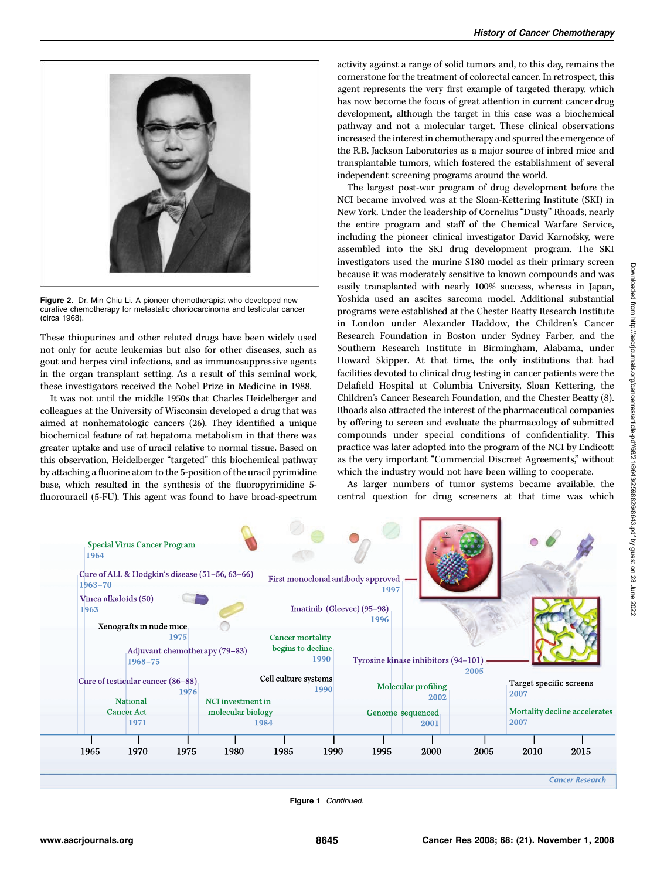

Figure 2. Dr. Min Chiu Li. A pioneer chemotherapist who developed new curative chemotherapy for metastatic choriocarcinoma and testicular cancer (circa 1968).

These thiopurines and other related drugs have been widely used not only for acute leukemias but also for other diseases, such as gout and herpes viral infections, and as immunosuppressive agents in the organ transplant setting. As a result of this seminal work, these investigators received the Nobel Prize in Medicine in 1988.

It was not until the middle 1950s that Charles Heidelberger and colleagues at the University of Wisconsin developed a drug that was aimed at nonhematologic cancers (26). They identified a unique biochemical feature of rat hepatoma metabolism in that there was greater uptake and use of uracil relative to normal tissue. Based on this observation, Heidelberger ''targeted'' this biochemical pathway by attaching a fluorine atom to the 5-position of the uracil pyrimidine base, which resulted in the synthesis of the fluoropyrimidine 5 fluorouracil (5-FU). This agent was found to have broad-spectrum activity against a range of solid tumors and, to this day, remains the cornerstone for the treatment of colorectal cancer. In retrospect, this agent represents the very first example of targeted therapy, which has now become the focus of great attention in current cancer drug development, although the target in this case was a biochemical pathway and not a molecular target. These clinical observations increased the interest in chemotherapy and spurred the emergence of the R.B. Jackson Laboratories as a major source of inbred mice and transplantable tumors, which fostered the establishment of several independent screening programs around the world.

The largest post-war program of drug development before the NCI became involved was at the Sloan-Kettering Institute (SKI) in New York. Under the leadership of Cornelius "Dusty" Rhoads, nearly the entire program and staff of the Chemical Warfare Service, including the pioneer clinical investigator David Karnofsky, were assembled into the SKI drug development program. The SKI investigators used the murine S180 model as their primary screen because it was moderately sensitive to known compounds and was easily transplanted with nearly 100% success, whereas in Japan, Yoshida used an ascites sarcoma model. Additional substantial programs were established at the Chester Beatty Research Institute in London under Alexander Haddow, the Children's Cancer Research Foundation in Boston under Sydney Farber, and the Southern Research Institute in Birmingham, Alabama, under Howard Skipper. At that time, the only institutions that had facilities devoted to clinical drug testing in cancer patients were the Delafield Hospital at Columbia University, Sloan Kettering, the Children's Cancer Research Foundation, and the Chester Beatty (8). Rhoads also attracted the interest of the pharmaceutical companies by offering to screen and evaluate the pharmacology of submitted compounds under special conditions of confidentiality. This practice was later adopted into the program of the NCI by Endicott as the very important ''Commercial Discreet Agreements,'' without which the industry would not have been willing to cooperate.

As larger numbers of tumor systems became available, the central question for drug screeners at that time was which

| <b>Special Virus Cancer Program</b><br>1964                                 |                                                          |                                            |                                             |                                       |
|-----------------------------------------------------------------------------|----------------------------------------------------------|--------------------------------------------|---------------------------------------------|---------------------------------------|
| Cure of ALL & Hodgkin's disease (51-56, 63-66)<br>$1963 - 70$               |                                                          | First monoclonal antibody approved<br>1997 |                                             |                                       |
| Vinca alkaloids (50)<br>1963                                                |                                                          | Imatinib (Gleevec) (95–98)<br>1996         |                                             |                                       |
| Xenografts in nude mice<br>1975<br>Adjuvant chemotherapy (79-83)<br>1968-75 | Cancer mortality<br>begins to decline<br>1990            |                                            | Tyrosine kinase inhibitors (94-101)<br>2005 |                                       |
| Cure of testicular cancer (86-88)<br>1976<br><b>National</b>                | Cell culture systems<br>1990<br><b>NCI</b> investment in |                                            | Molecular profiling<br>2002                 | Target specific screens<br>2007       |
| Cancer Act<br>1971                                                          | molecular biology<br>1984                                | Genome sequenced                           | 2001                                        | Mortality decline accelerates<br>2007 |
| 1965<br>1970<br>1975                                                        | 1980<br>1985                                             | 1995<br>1990                               | 2000<br>2005                                | 2010<br>2015                          |
|                                                                             |                                                          |                                            |                                             | <b>Cancer Research</b>                |

Figure 1 Continued.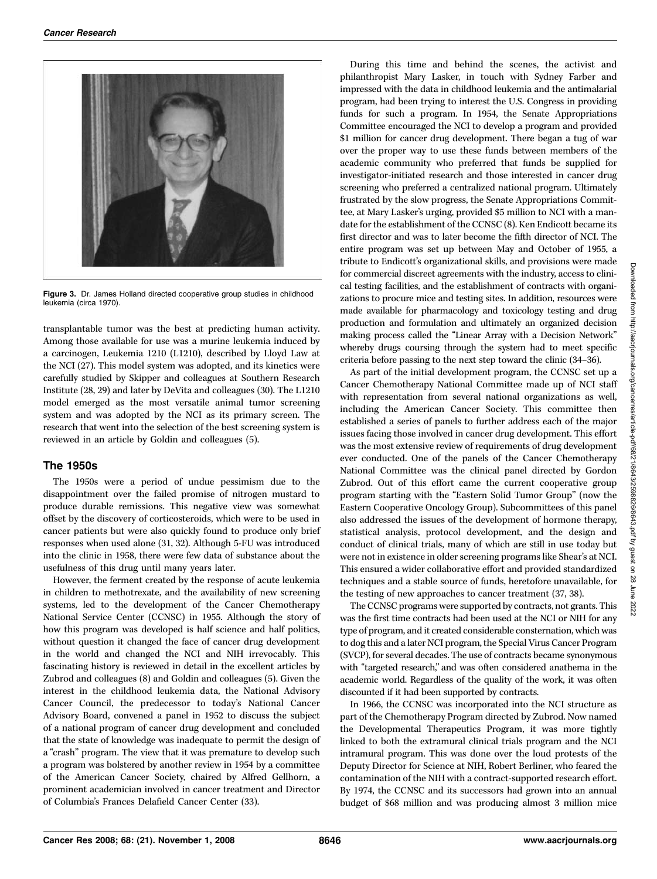

Figure 3. Dr. James Holland directed cooperative group studies in childhood leukemia (circa 1970).

transplantable tumor was the best at predicting human activity. Among those available for use was a murine leukemia induced by a carcinogen, Leukemia 1210 (L1210), described by Lloyd Law at the NCI (27). This model system was adopted, and its kinetics were carefully studied by Skipper and colleagues at Southern Research Institute (28, 29) and later by DeVita and colleagues (30). The L1210 model emerged as the most versatile animal tumor screening system and was adopted by the NCI as its primary screen. The research that went into the selection of the best screening system is reviewed in an article by Goldin and colleagues (5).

## The 1950s

The 1950s were a period of undue pessimism due to the disappointment over the failed promise of nitrogen mustard to produce durable remissions. This negative view was somewhat offset by the discovery of corticosteroids, which were to be used in cancer patients but were also quickly found to produce only brief responses when used alone (31, 32). Although 5-FU was introduced into the clinic in 1958, there were few data of substance about the usefulness of this drug until many years later.

However, the ferment created by the response of acute leukemia in children to methotrexate, and the availability of new screening systems, led to the development of the Cancer Chemotherapy National Service Center (CCNSC) in 1955. Although the story of how this program was developed is half science and half politics, without question it changed the face of cancer drug development in the world and changed the NCI and NIH irrevocably. This fascinating history is reviewed in detail in the excellent articles by Zubrod and colleagues (8) and Goldin and colleagues (5). Given the interest in the childhood leukemia data, the National Advisory Cancer Council, the predecessor to today's National Cancer Advisory Board, convened a panel in 1952 to discuss the subject of a national program of cancer drug development and concluded that the state of knowledge was inadequate to permit the design of a "crash" program. The view that it was premature to develop such a program was bolstered by another review in 1954 by a committee of the American Cancer Society, chaired by Alfred Gellhorn, a prominent academician involved in cancer treatment and Director of Columbia's Frances Delafield Cancer Center (33).

During this time and behind the scenes, the activist and philanthropist Mary Lasker, in touch with Sydney Farber and impressed with the data in childhood leukemia and the antimalarial program, had been trying to interest the U.S. Congress in providing funds for such a program. In 1954, the Senate Appropriations Committee encouraged the NCI to develop a program and provided \$1 million for cancer drug development. There began a tug of war over the proper way to use these funds between members of the academic community who preferred that funds be supplied for investigator-initiated research and those interested in cancer drug screening who preferred a centralized national program. Ultimately frustrated by the slow progress, the Senate Appropriations Committee, at Mary Lasker's urging, provided \$5 million to NCI with a mandate for the establishment of the CCNSC (8). Ken Endicott became its first director and was to later become the fifth director of NCI. The entire program was set up between May and October of 1955, a tribute to Endicott's organizational skills, and provisions were made for commercial discreet agreements with the industry, access to clinical testing facilities, and the establishment of contracts with organizations to procure mice and testing sites. In addition, resources were made available for pharmacology and toxicology testing and drug production and formulation and ultimately an organized decision making process called the "Linear Array with a Decision Network" whereby drugs coursing through the system had to meet specific criteria before passing to the next step toward the clinic (34–36).

As part of the initial development program, the CCNSC set up a Cancer Chemotherapy National Committee made up of NCI staff with representation from several national organizations as well, including the American Cancer Society. This committee then established a series of panels to further address each of the major issues facing those involved in cancer drug development. This effort was the most extensive review of requirements of drug development ever conducted. One of the panels of the Cancer Chemotherapy National Committee was the clinical panel directed by Gordon Zubrod. Out of this effort came the current cooperative group program starting with the "Eastern Solid Tumor Group" (now the Eastern Cooperative Oncology Group). Subcommittees of this panel also addressed the issues of the development of hormone therapy, statistical analysis, protocol development, and the design and conduct of clinical trials, many of which are still in use today but were not in existence in older screening programs like Shear's at NCI. This ensured a wider collaborative effort and provided standardized techniques and a stable source of funds, heretofore unavailable, for the testing of new approaches to cancer treatment (37, 38).

The CCNSC programs were supported by contracts, not grants. This was the first time contracts had been used at the NCI or NIH for any type of program, and it created considerable consternation, which was to dog this and a later NCI program, the Special Virus Cancer Program (SVCP), for several decades. The use of contracts became synonymous with "targeted research," and was often considered anathema in the academic world. Regardless of the quality of the work, it was often discounted if it had been supported by contracts.

In 1966, the CCNSC was incorporated into the NCI structure as part of the Chemotherapy Program directed by Zubrod. Now named the Developmental Therapeutics Program, it was more tightly linked to both the extramural clinical trials program and the NCI intramural program. This was done over the loud protests of the Deputy Director for Science at NIH, Robert Berliner, who feared the contamination of the NIH with a contract-supported research effort. By 1974, the CCNSC and its successors had grown into an annual budget of \$68 million and was producing almost 3 million mice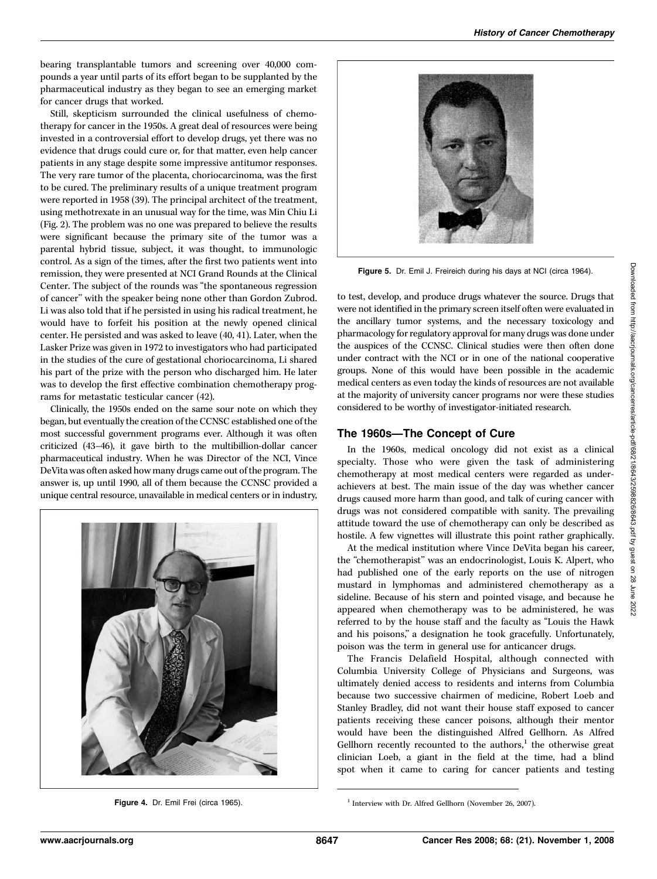bearing transplantable tumors and screening over 40,000 compounds a year until parts of its effort began to be supplanted by the pharmaceutical industry as they began to see an emerging market for cancer drugs that worked.

Still, skepticism surrounded the clinical usefulness of chemotherapy for cancer in the 1950s. A great deal of resources were being invested in a controversial effort to develop drugs, yet there was no evidence that drugs could cure or, for that matter, even help cancer patients in any stage despite some impressive antitumor responses. The very rare tumor of the placenta, choriocarcinoma, was the first to be cured. The preliminary results of a unique treatment program were reported in 1958 (39). The principal architect of the treatment, using methotrexate in an unusual way for the time, was Min Chiu Li (Fig. 2). The problem was no one was prepared to believe the results were significant because the primary site of the tumor was a parental hybrid tissue, subject, it was thought, to immunologic control. As a sign of the times, after the first two patients went into remission, they were presented at NCI Grand Rounds at the Clinical Center. The subject of the rounds was ''the spontaneous regression of cancer'' with the speaker being none other than Gordon Zubrod. Li was also told that if he persisted in using his radical treatment, he would have to forfeit his position at the newly opened clinical center. He persisted and was asked to leave (40, 41). Later, when the Lasker Prize was given in 1972 to investigators who had participated in the studies of the cure of gestational choriocarcinoma, Li shared his part of the prize with the person who discharged him. He later was to develop the first effective combination chemotherapy programs for metastatic testicular cancer (42).

Clinically, the 1950s ended on the same sour note on which they began, but eventually the creation of the CCNSC established one of the most successful government programs ever. Although it was often criticized (43–46), it gave birth to the multibillion-dollar cancer pharmaceutical industry. When he was Director of the NCI, Vince DeVita was often asked how many drugs came out of the program. The answer is, up until 1990, all of them because the CCNSC provided a unique central resource, unavailable in medical centers or in industry,



Figure 4. Dr. Emil Frei (circa 1965).



Figure 5. Dr. Emil J. Freireich during his days at NCI (circa 1964).

to test, develop, and produce drugs whatever the source. Drugs that were not identified in the primary screen itself often were evaluated in the ancillary tumor systems, and the necessary toxicology and pharmacology for regulatory approval for many drugs was done under the auspices of the CCNSC. Clinical studies were then often done under contract with the NCI or in one of the national cooperative groups. None of this would have been possible in the academic medical centers as even today the kinds of resources are not available at the majority of university cancer programs nor were these studies considered to be worthy of investigator-initiated research.

## The 1960s—The Concept of Cure

In the 1960s, medical oncology did not exist as a clinical specialty. Those who were given the task of administering chemotherapy at most medical centers were regarded as underachievers at best. The main issue of the day was whether cancer drugs caused more harm than good, and talk of curing cancer with drugs was not considered compatible with sanity. The prevailing attitude toward the use of chemotherapy can only be described as hostile. A few vignettes will illustrate this point rather graphically.

At the medical institution where Vince DeVita began his career, the ''chemotherapist'' was an endocrinologist, Louis K. Alpert, who had published one of the early reports on the use of nitrogen mustard in lymphomas and administered chemotherapy as a sideline. Because of his stern and pointed visage, and because he appeared when chemotherapy was to be administered, he was referred to by the house staff and the faculty as ''Louis the Hawk and his poisons,'' a designation he took gracefully. Unfortunately, poison was the term in general use for anticancer drugs.

The Francis Delafield Hospital, although connected with Columbia University College of Physicians and Surgeons, was ultimately denied access to residents and interns from Columbia because two successive chairmen of medicine, Robert Loeb and Stanley Bradley, did not want their house staff exposed to cancer patients receiving these cancer poisons, although their mentor would have been the distinguished Alfred Gellhorn. As Alfred Gellhorn recently recounted to the authors, $<sup>1</sup>$  the otherwise great</sup> clinician Loeb, a giant in the field at the time, had a blind spot when it came to caring for cancer patients and testing

<sup>&</sup>lt;sup>1</sup> Interview with Dr. Alfred Gellhorn (November 26, 2007).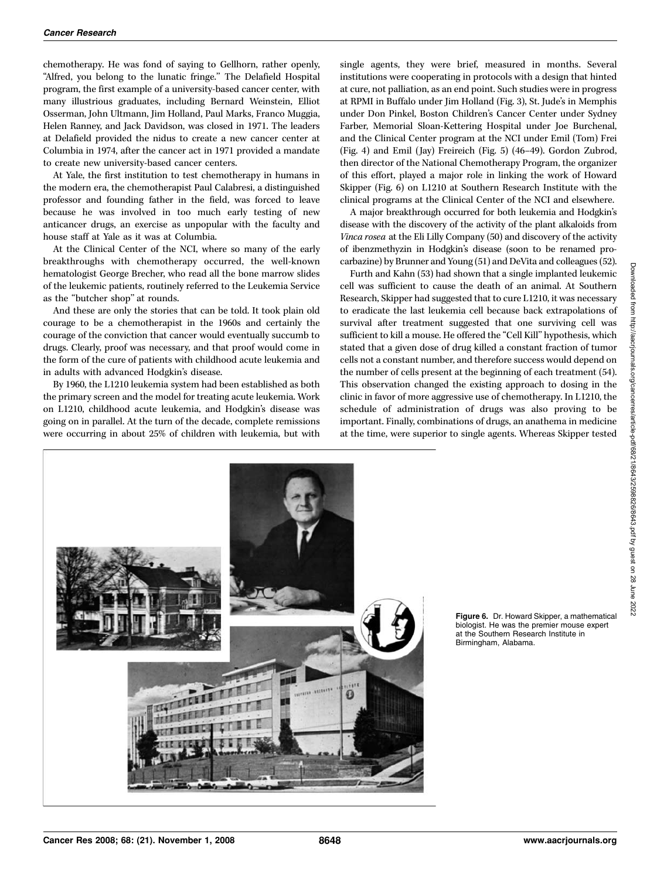chemotherapy. He was fond of saying to Gellhorn, rather openly, "Alfred, you belong to the lunatic fringe." The Delafield Hospital program, the first example of a university-based cancer center, with many illustrious graduates, including Bernard Weinstein, Elliot Osserman, John Ultmann, Jim Holland, Paul Marks, Franco Muggia, Helen Ranney, and Jack Davidson, was closed in 1971. The leaders at Delafield provided the nidus to create a new cancer center at Columbia in 1974, after the cancer act in 1971 provided a mandate to create new university-based cancer centers.

At Yale, the first institution to test chemotherapy in humans in the modern era, the chemotherapist Paul Calabresi, a distinguished professor and founding father in the field, was forced to leave because he was involved in too much early testing of new anticancer drugs, an exercise as unpopular with the faculty and house staff at Yale as it was at Columbia.

At the Clinical Center of the NCI, where so many of the early breakthroughs with chemotherapy occurred, the well-known hematologist George Brecher, who read all the bone marrow slides of the leukemic patients, routinely referred to the Leukemia Service as the ''butcher shop'' at rounds.

And these are only the stories that can be told. It took plain old courage to be a chemotherapist in the 1960s and certainly the courage of the conviction that cancer would eventually succumb to drugs. Clearly, proof was necessary, and that proof would come in the form of the cure of patients with childhood acute leukemia and in adults with advanced Hodgkin's disease.

By 1960, the L1210 leukemia system had been established as both the primary screen and the model for treating acute leukemia. Work on L1210, childhood acute leukemia, and Hodgkin's disease was going on in parallel. At the turn of the decade, complete remissions were occurring in about 25% of children with leukemia, but with single agents, they were brief, measured in months. Several institutions were cooperating in protocols with a design that hinted at cure, not palliation, as an end point. Such studies were in progress at RPMI in Buffalo under Jim Holland (Fig. 3), St. Jude's in Memphis under Don Pinkel, Boston Children's Cancer Center under Sydney Farber, Memorial Sloan-Kettering Hospital under Joe Burchenal, and the Clinical Center program at the NCI under Emil (Tom) Frei (Fig. 4) and Emil ( Jay) Freireich (Fig. 5) (46–49). Gordon Zubrod, then director of the National Chemotherapy Program, the organizer of this effort, played a major role in linking the work of Howard Skipper (Fig. 6) on L1210 at Southern Research Institute with the clinical programs at the Clinical Center of the NCI and elsewhere.

A major breakthrough occurred for both leukemia and Hodgkin's disease with the discovery of the activity of the plant alkaloids from Vinca rosea at the Eli Lilly Company (50) and discovery of the activity of ibenzmethyzin in Hodgkin's disease (soon to be renamed procarbazine) by Brunner and Young (51) and DeVita and colleagues (52).

Furth and Kahn (53) had shown that a single implanted leukemic cell was sufficient to cause the death of an animal. At Southern Research, Skipper had suggested that to cure L1210, it was necessary to eradicate the last leukemia cell because back extrapolations of survival after treatment suggested that one surviving cell was sufficient to kill a mouse. He offered the "Cell Kill" hypothesis, which stated that a given dose of drug killed a constant fraction of tumor cells not a constant number, and therefore success would depend on the number of cells present at the beginning of each treatment (54). This observation changed the existing approach to dosing in the clinic in favor of more aggressive use of chemotherapy. In L1210, the schedule of administration of drugs was also proving to be important. Finally, combinations of drugs, an anathema in medicine at the time, were superior to single agents. Whereas Skipper tested



Figure 6. Dr. Howard Skipper, a mathematical biologist. He was the premier mouse expert at the Southern Research Institute in Birmingham, Alabama.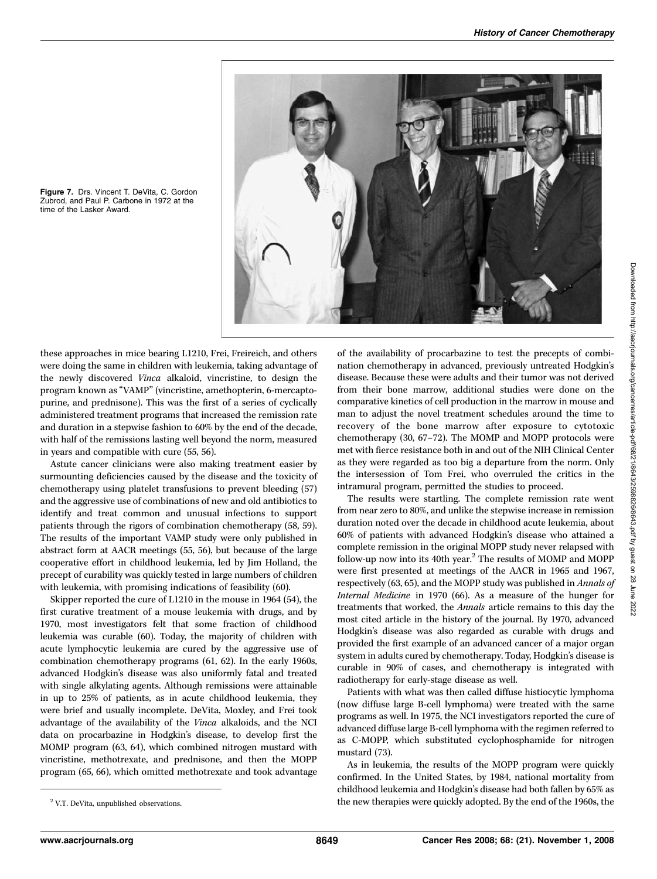

Figure 7. Drs. Vincent T. DeVita, C. Gordon Zubrod, and Paul P. Carbone in 1972 at the time of the Lasker Award.

these approaches in mice bearing L1210, Frei, Freireich, and others were doing the same in children with leukemia, taking advantage of the newly discovered Vinca alkaloid, vincristine, to design the program known as ''VAMP'' (vincristine, amethopterin, 6-mercaptopurine, and prednisone). This was the first of a series of cyclically administered treatment programs that increased the remission rate and duration in a stepwise fashion to 60% by the end of the decade, with half of the remissions lasting well beyond the norm, measured in years and compatible with cure (55, 56).

Astute cancer clinicians were also making treatment easier by surmounting deficiencies caused by the disease and the toxicity of chemotherapy using platelet transfusions to prevent bleeding (57) and the aggressive use of combinations of new and old antibiotics to identify and treat common and unusual infections to support patients through the rigors of combination chemotherapy (58, 59). The results of the important VAMP study were only published in abstract form at AACR meetings (55, 56), but because of the large cooperative effort in childhood leukemia, led by Jim Holland, the precept of curability was quickly tested in large numbers of children with leukemia, with promising indications of feasibility (60).

Skipper reported the cure of L1210 in the mouse in 1964 (54), the first curative treatment of a mouse leukemia with drugs, and by 1970, most investigators felt that some fraction of childhood leukemia was curable (60). Today, the majority of children with acute lymphocytic leukemia are cured by the aggressive use of combination chemotherapy programs (61, 62). In the early 1960s, advanced Hodgkin's disease was also uniformly fatal and treated with single alkylating agents. Although remissions were attainable in up to 25% of patients, as in acute childhood leukemia, they were brief and usually incomplete. DeVita, Moxley, and Frei took advantage of the availability of the Vinca alkaloids, and the NCI data on procarbazine in Hodgkin's disease, to develop first the MOMP program (63, 64), which combined nitrogen mustard with vincristine, methotrexate, and prednisone, and then the MOPP program (65, 66), which omitted methotrexate and took advantage

of the availability of procarbazine to test the precepts of combination chemotherapy in advanced, previously untreated Hodgkin's disease. Because these were adults and their tumor was not derived from their bone marrow, additional studies were done on the comparative kinetics of cell production in the marrow in mouse and man to adjust the novel treatment schedules around the time to recovery of the bone marrow after exposure to cytotoxic chemotherapy (30, 67–72). The MOMP and MOPP protocols were met with fierce resistance both in and out of the NIH Clinical Center as they were regarded as too big a departure from the norm. Only the intersession of Tom Frei, who overruled the critics in the intramural program, permitted the studies to proceed.

The results were startling. The complete remission rate went from near zero to 80%, and unlike the stepwise increase in remission duration noted over the decade in childhood acute leukemia, about 60% of patients with advanced Hodgkin's disease who attained a complete remission in the original MOPP study never relapsed with follow-up now into its 40th year.<sup>2</sup> The results of MOMP and MOPP were first presented at meetings of the AACR in 1965 and 1967, respectively (63, 65), and the MOPP study was published in Annals of Internal Medicine in 1970 (66). As a measure of the hunger for treatments that worked, the Annals article remains to this day the most cited article in the history of the journal. By 1970, advanced Hodgkin's disease was also regarded as curable with drugs and provided the first example of an advanced cancer of a major organ system in adults cured by chemotherapy. Today, Hodgkin's disease is curable in 90% of cases, and chemotherapy is integrated with radiotherapy for early-stage disease as well.

Patients with what was then called diffuse histiocytic lymphoma (now diffuse large B-cell lymphoma) were treated with the same programs as well. In 1975, the NCI investigators reported the cure of advanced diffuse large B-cell lymphoma with the regimen referred to as C-MOPP, which substituted cyclophosphamide for nitrogen mustard (73).

As in leukemia, the results of the MOPP program were quickly confirmed. In the United States, by 1984, national mortality from childhood leukemia and Hodgkin's disease had both fallen by 65% as  $t^2$  V.T. DeVita, unpublished observations.  $t^2$  V.T. DeVita, unpublished observations.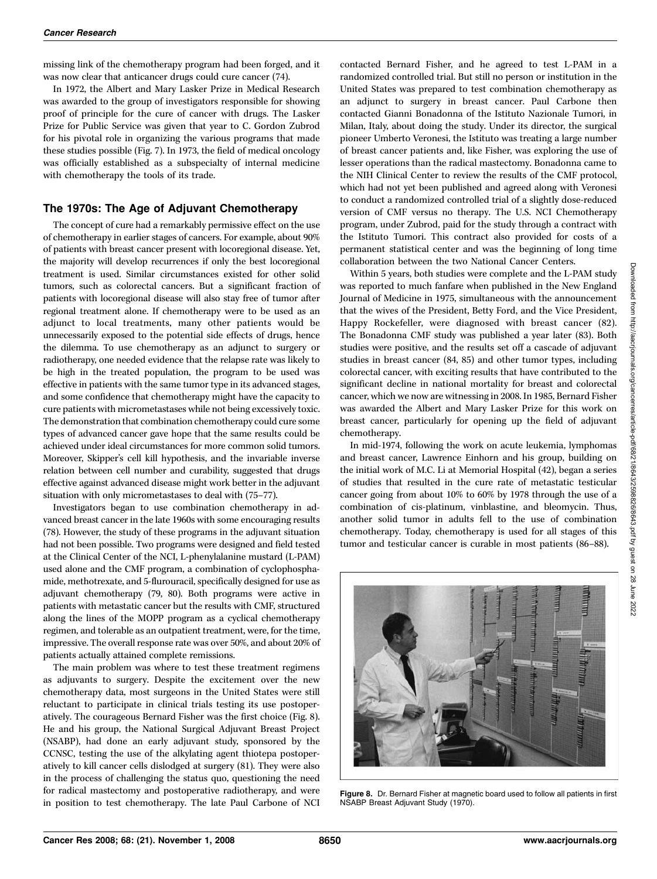missing link of the chemotherapy program had been forged, and it was now clear that anticancer drugs could cure cancer (74).

In 1972, the Albert and Mary Lasker Prize in Medical Research was awarded to the group of investigators responsible for showing proof of principle for the cure of cancer with drugs. The Lasker Prize for Public Service was given that year to C. Gordon Zubrod for his pivotal role in organizing the various programs that made these studies possible (Fig. 7). In 1973, the field of medical oncology was officially established as a subspecialty of internal medicine with chemotherapy the tools of its trade.

# The 1970s: The Age of Adjuvant Chemotherapy

The concept of cure had a remarkably permissive effect on the use of chemotherapy in earlier stages of cancers. For example, about 90% of patients with breast cancer present with locoregional disease. Yet, the majority will develop recurrences if only the best locoregional treatment is used. Similar circumstances existed for other solid tumors, such as colorectal cancers. But a significant fraction of patients with locoregional disease will also stay free of tumor after regional treatment alone. If chemotherapy were to be used as an adjunct to local treatments, many other patients would be unnecessarily exposed to the potential side effects of drugs, hence the dilemma. To use chemotherapy as an adjunct to surgery or radiotherapy, one needed evidence that the relapse rate was likely to be high in the treated population, the program to be used was effective in patients with the same tumor type in its advanced stages, and some confidence that chemotherapy might have the capacity to cure patients with micrometastases while not being excessively toxic. The demonstration that combination chemotherapy could cure some types of advanced cancer gave hope that the same results could be achieved under ideal circumstances for more common solid tumors. Moreover, Skipper's cell kill hypothesis, and the invariable inverse relation between cell number and curability, suggested that drugs effective against advanced disease might work better in the adjuvant situation with only micrometastases to deal with (75–77).

Investigators began to use combination chemotherapy in advanced breast cancer in the late 1960s with some encouraging results (78). However, the study of these programs in the adjuvant situation had not been possible. Two programs were designed and field tested at the Clinical Center of the NCI, L-phenylalanine mustard (L-PAM) used alone and the CMF program, a combination of cyclophosphamide, methotrexate, and 5-flurouracil, specifically designed for use as adjuvant chemotherapy (79, 80). Both programs were active in patients with metastatic cancer but the results with CMF, structured along the lines of the MOPP program as a cyclical chemotherapy regimen, and tolerable as an outpatient treatment, were, for the time, impressive. The overall response rate was over 50%, and about 20% of patients actually attained complete remissions.

The main problem was where to test these treatment regimens as adjuvants to surgery. Despite the excitement over the new chemotherapy data, most surgeons in the United States were still reluctant to participate in clinical trials testing its use postoperatively. The courageous Bernard Fisher was the first choice (Fig. 8). He and his group, the National Surgical Adjuvant Breast Project (NSABP), had done an early adjuvant study, sponsored by the CCNSC, testing the use of the alkylating agent thiotepa postoperatively to kill cancer cells dislodged at surgery (81). They were also in the process of challenging the status quo, questioning the need for radical mastectomy and postoperative radiotherapy, and were in position to test chemotherapy. The late Paul Carbone of NCI contacted Bernard Fisher, and he agreed to test L-PAM in a randomized controlled trial. But still no person or institution in the United States was prepared to test combination chemotherapy as an adjunct to surgery in breast cancer. Paul Carbone then contacted Gianni Bonadonna of the Istituto Nazionale Tumori, in Milan, Italy, about doing the study. Under its director, the surgical pioneer Umberto Veronesi, the Istituto was treating a large number of breast cancer patients and, like Fisher, was exploring the use of lesser operations than the radical mastectomy. Bonadonna came to the NIH Clinical Center to review the results of the CMF protocol, which had not yet been published and agreed along with Veronesi to conduct a randomized controlled trial of a slightly dose-reduced version of CMF versus no therapy. The U.S. NCI Chemotherapy program, under Zubrod, paid for the study through a contract with the Istituto Tumori. This contract also provided for costs of a permanent statistical center and was the beginning of long time collaboration between the two National Cancer Centers.

Within 5 years, both studies were complete and the L-PAM study was reported to much fanfare when published in the New England Journal of Medicine in 1975, simultaneous with the announcement that the wives of the President, Betty Ford, and the Vice President, Happy Rockefeller, were diagnosed with breast cancer (82). The Bonadonna CMF study was published a year later (83). Both studies were positive, and the results set off a cascade of adjuvant studies in breast cancer (84, 85) and other tumor types, including colorectal cancer, with exciting results that have contributed to the significant decline in national mortality for breast and colorectal cancer, which we now are witnessing in 2008. In 1985, Bernard Fisher was awarded the Albert and Mary Lasker Prize for this work on breast cancer, particularly for opening up the field of adjuvant chemotherapy.

In mid-1974, following the work on acute leukemia, lymphomas and breast cancer, Lawrence Einhorn and his group, building on the initial work of M.C. Li at Memorial Hospital (42), began a series of studies that resulted in the cure rate of metastatic testicular cancer going from about 10% to 60% by 1978 through the use of a combination of cis-platinum, vinblastine, and bleomycin. Thus, another solid tumor in adults fell to the use of combination chemotherapy. Today, chemotherapy is used for all stages of this tumor and testicular cancer is curable in most patients (86–88).



Figure 8. Dr. Bernard Fisher at magnetic board used to follow all patients in first NSABP Breast Adjuvant Study (1970).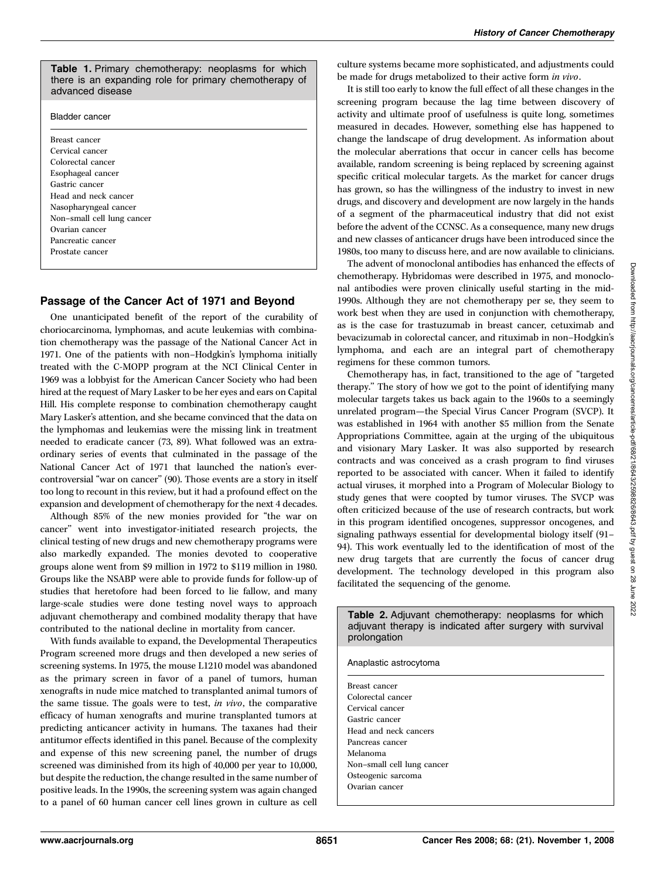Table 1. Primary chemotherapy: neoplasms for which there is an expanding role for primary chemotherapy of advanced disease

#### Bladder cancer

Breast cancer Cervical cancer Colorectal cancer Esophageal cancer Gastric cancer Head and neck cancer Nasopharyngeal cancer Non–small cell lung cancer Ovarian cancer Pancreatic cancer Prostate cancer

## Passage of the Cancer Act of 1971 and Beyond

One unanticipated benefit of the report of the curability of choriocarcinoma, lymphomas, and acute leukemias with combination chemotherapy was the passage of the National Cancer Act in 1971. One of the patients with non–Hodgkin's lymphoma initially treated with the C-MOPP program at the NCI Clinical Center in 1969 was a lobbyist for the American Cancer Society who had been hired at the request of Mary Lasker to be her eyes and ears on Capital Hill. His complete response to combination chemotherapy caught Mary Lasker's attention, and she became convinced that the data on the lymphomas and leukemias were the missing link in treatment needed to eradicate cancer (73, 89). What followed was an extraordinary series of events that culminated in the passage of the National Cancer Act of 1971 that launched the nation's evercontroversial "war on cancer" (90). Those events are a story in itself too long to recount in this review, but it had a profound effect on the expansion and development of chemotherapy for the next 4 decades.

Although 85% of the new monies provided for ''the war on cancer'' went into investigator-initiated research projects, the clinical testing of new drugs and new chemotherapy programs were also markedly expanded. The monies devoted to cooperative groups alone went from \$9 million in 1972 to \$119 million in 1980. Groups like the NSABP were able to provide funds for follow-up of studies that heretofore had been forced to lie fallow, and many large-scale studies were done testing novel ways to approach adjuvant chemotherapy and combined modality therapy that have contributed to the national decline in mortality from cancer.

With funds available to expand, the Developmental Therapeutics Program screened more drugs and then developed a new series of screening systems. In 1975, the mouse L1210 model was abandoned as the primary screen in favor of a panel of tumors, human xenografts in nude mice matched to transplanted animal tumors of the same tissue. The goals were to test, in vivo, the comparative efficacy of human xenografts and murine transplanted tumors at predicting anticancer activity in humans. The taxanes had their antitumor effects identified in this panel. Because of the complexity and expense of this new screening panel, the number of drugs screened was diminished from its high of 40,000 per year to 10,000, but despite the reduction, the change resulted in the same number of positive leads. In the 1990s, the screening system was again changed to a panel of 60 human cancer cell lines grown in culture as cell

culture systems became more sophisticated, and adjustments could be made for drugs metabolized to their active form in vivo.

It is still too early to know the full effect of all these changes in the screening program because the lag time between discovery of activity and ultimate proof of usefulness is quite long, sometimes measured in decades. However, something else has happened to change the landscape of drug development. As information about the molecular aberrations that occur in cancer cells has become available, random screening is being replaced by screening against specific critical molecular targets. As the market for cancer drugs has grown, so has the willingness of the industry to invest in new drugs, and discovery and development are now largely in the hands of a segment of the pharmaceutical industry that did not exist before the advent of the CCNSC. As a consequence, many new drugs and new classes of anticancer drugs have been introduced since the 1980s, too many to discuss here, and are now available to clinicians.

The advent of monoclonal antibodies has enhanced the effects of chemotherapy. Hybridomas were described in 1975, and monoclonal antibodies were proven clinically useful starting in the mid-1990s. Although they are not chemotherapy per se, they seem to work best when they are used in conjunction with chemotherapy, as is the case for trastuzumab in breast cancer, cetuximab and bevacizumab in colorectal cancer, and rituximab in non–Hodgkin's lymphoma, and each are an integral part of chemotherapy regimens for these common tumors.

Chemotherapy has, in fact, transitioned to the age of ''targeted therapy.'' The story of how we got to the point of identifying many molecular targets takes us back again to the 1960s to a seemingly unrelated program—the Special Virus Cancer Program (SVCP). It was established in 1964 with another \$5 million from the Senate Appropriations Committee, again at the urging of the ubiquitous and visionary Mary Lasker. It was also supported by research contracts and was conceived as a crash program to find viruses reported to be associated with cancer. When it failed to identify actual viruses, it morphed into a Program of Molecular Biology to study genes that were coopted by tumor viruses. The SVCP was often criticized because of the use of research contracts, but work in this program identified oncogenes, suppressor oncogenes, and signaling pathways essential for developmental biology itself (91– 94). This work eventually led to the identification of most of the new drug targets that are currently the focus of cancer drug development. The technology developed in this program also facilitated the sequencing of the genome.

Table 2. Adjuvant chemotherapy: neoplasms for which adjuvant therapy is indicated after surgery with survival prolongation

#### Anaplastic astrocytoma

Breast cancer Colorectal cancer Cervical cancer Gastric cancer Head and neck cancers Pancreas cancer Melanoma Non–small cell lung cancer Osteogenic sarcoma Ovarian cancer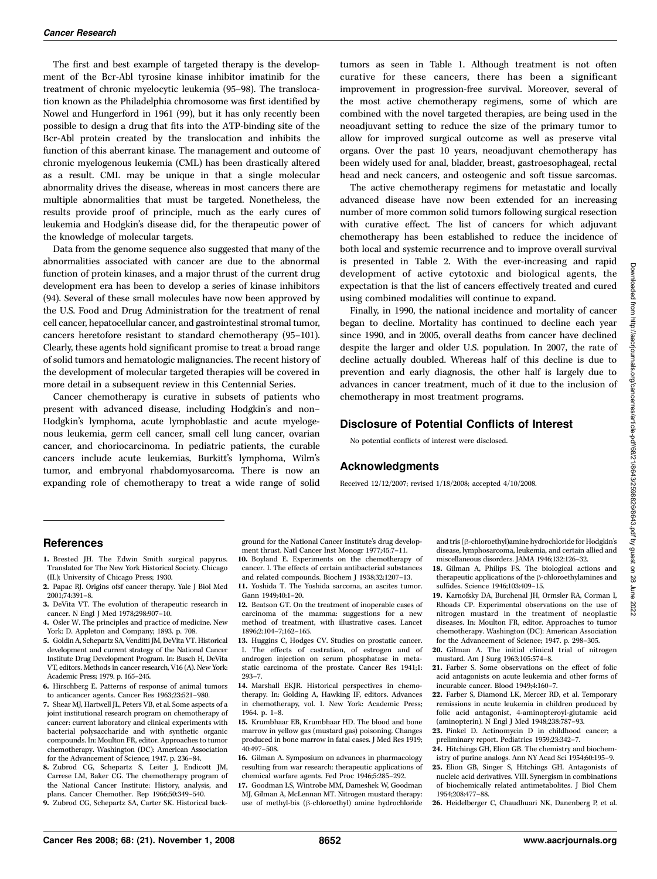The first and best example of targeted therapy is the development of the Bcr-Abl tyrosine kinase inhibitor imatinib for the treatment of chronic myelocytic leukemia (95–98). The translocation known as the Philadelphia chromosome was first identified by Nowel and Hungerford in 1961 (99), but it has only recently been possible to design a drug that fits into the ATP-binding site of the Bcr-Abl protein created by the translocation and inhibits the function of this aberrant kinase. The management and outcome of chronic myelogenous leukemia (CML) has been drastically altered as a result. CML may be unique in that a single molecular abnormality drives the disease, whereas in most cancers there are multiple abnormalities that must be targeted. Nonetheless, the results provide proof of principle, much as the early cures of leukemia and Hodgkin's disease did, for the therapeutic power of the knowledge of molecular targets.

Data from the genome sequence also suggested that many of the abnormalities associated with cancer are due to the abnormal function of protein kinases, and a major thrust of the current drug development era has been to develop a series of kinase inhibitors (94). Several of these small molecules have now been approved by the U.S. Food and Drug Administration for the treatment of renal cell cancer, hepatocellular cancer, and gastrointestinal stromal tumor, cancers heretofore resistant to standard chemotherapy (95–101). Clearly, these agents hold significant promise to treat a broad range of solid tumors and hematologic malignancies. The recent history of the development of molecular targeted therapies will be covered in more detail in a subsequent review in this Centennial Series.

Cancer chemotherapy is curative in subsets of patients who present with advanced disease, including Hodgkin's and non– Hodgkin's lymphoma, acute lymphoblastic and acute myelogenous leukemia, germ cell cancer, small cell lung cancer, ovarian cancer, and choriocarcinoma. In pediatric patients, the curable cancers include acute leukemias, Burkitt's lymphoma, Wilm's tumor, and embryonal rhabdomyosarcoma. There is now an expanding role of chemotherapy to treat a wide range of solid

tumors as seen in Table 1. Although treatment is not often curative for these cancers, there has been a significant improvement in progression-free survival. Moreover, several of the most active chemotherapy regimens, some of which are combined with the novel targeted therapies, are being used in the neoadjuvant setting to reduce the size of the primary tumor to allow for improved surgical outcome as well as preserve vital organs. Over the past 10 years, neoadjuvant chemotherapy has been widely used for anal, bladder, breast, gastroesophageal, rectal head and neck cancers, and osteogenic and soft tissue sarcomas.

The active chemotherapy regimens for metastatic and locally advanced disease have now been extended for an increasing number of more common solid tumors following surgical resection with curative effect. The list of cancers for which adjuvant chemotherapy has been established to reduce the incidence of both local and systemic recurrence and to improve overall survival is presented in Table 2. With the ever-increasing and rapid development of active cytotoxic and biological agents, the expectation is that the list of cancers effectively treated and cured using combined modalities will continue to expand.

Finally, in 1990, the national incidence and mortality of cancer began to decline. Mortality has continued to decline each year since 1990, and in 2005, overall deaths from cancer have declined despite the larger and older U.S. population. In 2007, the rate of decline actually doubled. Whereas half of this decline is due to prevention and early diagnosis, the other half is largely due to advances in cancer treatment, much of it due to the inclusion of chemotherapy in most treatment programs.

#### Disclosure of Potential Conflicts of Interest

No potential conflicts of interest were disclosed.

#### Acknowledgments

Received 12/12/2007; revised 1/18/2008; accepted 4/10/2008.

#### References

- 1. Brested JH. The Edwin Smith surgical papyrus. Translated for The New York Historical Society. Chicago (IL): University of Chicago Press; 1930.
- 2. Papac RJ. Origins ofsf cancer therapy. Yale J Biol Med 2001;74:391–8.
- 3. DeVita VT. The evolution of therapeutic research in cancer. N Engl J Med 1978;298:907–10.
- 4. Osler W. The principles and practice of medicine. New York: D. Appleton and Company; 1893. p. 708.
- 5. Goldin A, Schepartz SA, Venditti JM, DeVita VT. Historical development and current strategy of the National Cancer Institute Drug Development Program. In: Busch H, DeVita VT, editors. Methods in cancer research, V16(A). New York: Academic Press; 1979. p. 165–245.
- 6. Hirschberg E. Patterns of response of animal tumors to anticancer agents. Cancer Res 1963;23:521–980.
- 7. Shear MJ, Hartwell JL, Peters VB, et al. Some aspects of a joint institutional research program on chemotherapy of cancer: current laboratory and clinical experiments with bacterial polysaccharide and with synthetic organic compounds. In: Moulton FR, editor. Approaches to tumor chemotherapy. Washington (DC): American Association for the Advancement of Science; 1947. p. 236–84.
- 8. Zubrod CG, Schepartz S, Leiter J, Endicott JM, Carrese LM, Baker CG. The chemotherapy program of the National Cancer Institute: History, analysis, and plans. Cancer Chemother. Rep 1966;50:349–540.
- 9. Zubrod CG, Schepartz SA, Carter SK. Historical back-
- ground for the National Cancer Institute's drug development thrust. Natl Cancer Inst Monogr 1977;45:7–11. 10. Boyland E. Experiments on the chemotherapy of
- cancer. I. The effects of certain antibacterial substances and related compounds. Biochem J 1938;32:1207–13. 11. Yoshida T. The Yoshida sarcoma, an ascites tumor.
- Gann 1949;40:1–20.
- 12. Beatson GT. On the treatment of inoperable cases of carcinoma of the mamma: suggestions for a new method of treatment, with illustrative cases. Lancet 1896;2:104–7;162–165.
- 13. Huggins C, Hodges CV. Studies on prostatic cancer. I. The effects of castration, of estrogen and of androgen injection on serum phosphatase in metastatic carcinoma of the prostate. Cancer Res 1941;1: 293–7.
- 14. Marshall EKJR. Historical perspectives in chemotherapy. In: Golding A, Hawking IF, editors. Advances in chemotherapy, vol. 1. New York: Academic Press; 1964. p. 1–8.
- 15. Krumbhaar EB, Krumbhaar HD. The blood and bone marrow in yellow gas (mustard gas) poisoning. Changes produced in bone marrow in fatal cases. J Med Res 1919; 40:497–508.
- 16. Gilman A. Symposium on advances in pharmacology resulting from war research: therapeutic applications of chemical warfare agents. Fed Proc 1946;5:285–292.
- 17. Goodman LS, Wintrobe MM, Dameshek W, Goodman MJ, Gilman A, McLennan MT. Nitrogen mustard therapy: use of methyl-bis  $(\beta$ -chloroethyl) amine hydrochloride

and tris ( $\beta$ -chloroethyl)amine hydrochloride for Hodgkin's disease, lymphosarcoma, leukemia, and certain allied and miscellaneous disorders. JAMA 1946;132:126–32.

- 18. Gilman A, Philips FS. The biological actions and therapeutic applications of the  $\beta$ -chloroethylamines and sulfides. Science 1946;103:409–15.
- 19. Karnofsky DA, Burchenal JH, Ormsler RA, Corman I, Rhoads CP. Experimental observations on the use of nitrogen mustard in the treatment of neoplastic diseases. In: Moulton FR, editor. Approaches to tumor chemotherapy. Washington (DC): American Association for the Advancement of Science; 1947. p. 298–305.
- 20. Gilman A. The initial clinical trial of nitrogen mustard. Am J Surg 1963;105:574–8.
- 21. Farber S. Some observations on the effect of folic acid antagonists on acute leukemia and other forms of incurable cancer. Blood 1949;4:160–7.
- 22. Farber S, Diamond LK, Mercer RD, et al. Temporary remissions in acute leukemia in children produced by folic acid antagonist, 4-aminopteroyl-glutamic acid (aminopterin). N Engl J Med 1948;238:787–93.
- 23. Pinkel D. Actinomycin D in childhood cancer; a preliminary report. Pediatrics 1959;23:342–7.
- 24. Hitchings GH, Elion GB. The chemistry and biochemistry of purine analogs. Ann NY Acad Sci 1954;60:195–9.
- 25. Elion GB, Singer S, Hitchings GH. Antagonists of nucleic acid derivatives. VIII. Synergism in combinations of biochemically related antimetabolites. J Biol Chem 1954;208:477–88.

26. Heidelberger C, Chaudhuari NK, Danenberg P, et al.